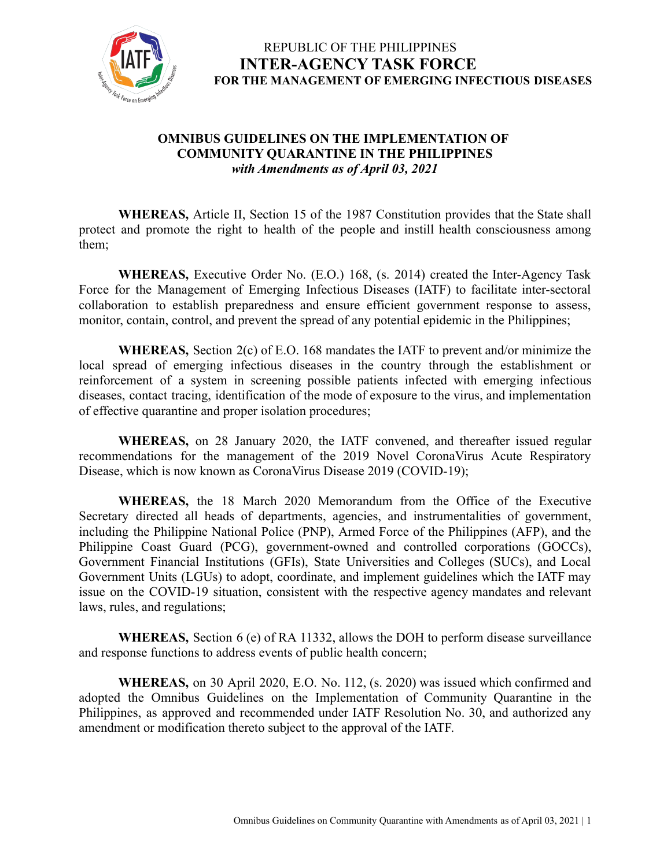

### **OMNIBUS GUIDELINES ON THE IMPLEMENTATION OF COMMUNITY QUARANTINE IN THE PHILIPPINES** *with Amendments as of April 03, 2021*

**WHEREAS,** Article II, Section 15 of the 1987 Constitution provides that the State shall protect and promote the right to health of the people and instill health consciousness among them;

**WHEREAS,** Executive Order No. (E.O.) 168, (s. 2014) created the Inter-Agency Task Force for the Management of Emerging Infectious Diseases (IATF) to facilitate inter-sectoral collaboration to establish preparedness and ensure efficient government response to assess, monitor, contain, control, and prevent the spread of any potential epidemic in the Philippines;

**WHEREAS,** Section 2(c) of E.O. 168 mandates the IATF to prevent and/or minimize the local spread of emerging infectious diseases in the country through the establishment or reinforcement of a system in screening possible patients infected with emerging infectious diseases, contact tracing, identification of the mode of exposure to the virus, and implementation of effective quarantine and proper isolation procedures;

**WHEREAS,** on 28 January 2020, the IATF convened, and thereafter issued regular recommendations for the management of the 2019 Novel CoronaVirus Acute Respiratory Disease, which is now known as CoronaVirus Disease 2019 (COVID-19);

**WHEREAS,** the 18 March 2020 Memorandum from the Office of the Executive Secretary directed all heads of departments, agencies, and instrumentalities of government, including the Philippine National Police (PNP), Armed Force of the Philippines (AFP), and the Philippine Coast Guard (PCG), government-owned and controlled corporations (GOCCs), Government Financial Institutions (GFIs), State Universities and Colleges (SUCs), and Local Government Units (LGUs) to adopt, coordinate, and implement guidelines which the IATF may issue on the COVID-19 situation, consistent with the respective agency mandates and relevant laws, rules, and regulations;

**WHEREAS,** Section 6 (e) of RA 11332, allows the DOH to perform disease surveillance and response functions to address events of public health concern;

**WHEREAS,** on 30 April 2020, E.O. No. 112, (s. 2020) was issued which confirmed and adopted the Omnibus Guidelines on the Implementation of Community Quarantine in the Philippines, as approved and recommended under IATF Resolution No. 30, and authorized any amendment or modification thereto subject to the approval of the IATF.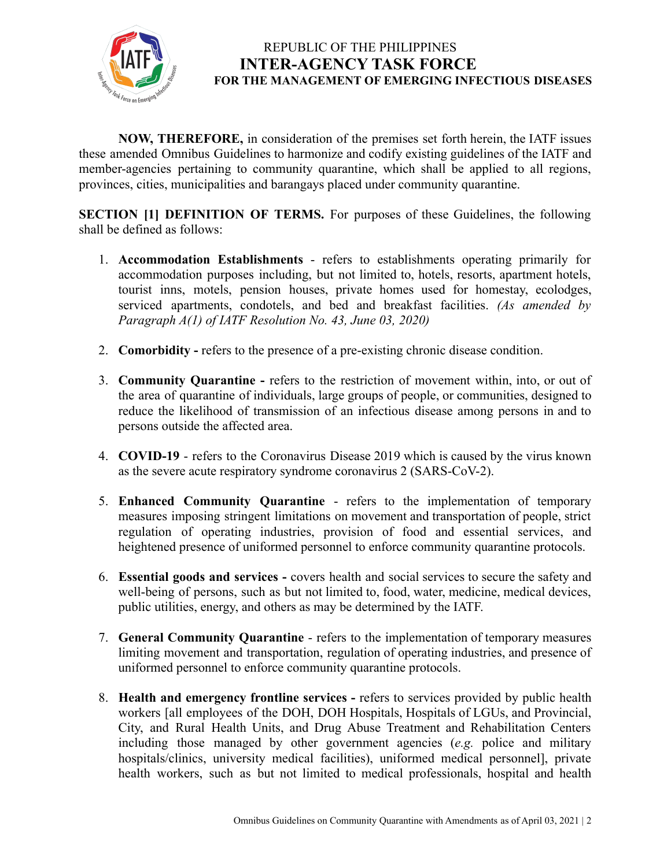

**NOW, THEREFORE,** in consideration of the premises set forth herein, the IATF issues these amended Omnibus Guidelines to harmonize and codify existing guidelines of the IATF and member-agencies pertaining to community quarantine, which shall be applied to all regions, provinces, cities, municipalities and barangays placed under community quarantine.

**SECTION [1] DEFINITION OF TERMS.** For purposes of these Guidelines, the following shall be defined as follows:

- 1. **Accommodation Establishments** refers to establishments operating primarily for accommodation purposes including, but not limited to, hotels, resorts, apartment hotels, tourist inns, motels, pension houses, private homes used for homestay, ecolodges, serviced apartments, condotels, and bed and breakfast facilities. *(As amended by Paragraph A(1) of IATF Resolution No. 43, June 03, 2020)*
- 2. **Comorbidity -** refers to the presence of a pre-existing chronic disease condition.
- 3. **Community Quarantine -** refers to the restriction of movement within, into, or out of the area of quarantine of individuals, large groups of people, or communities, designed to reduce the likelihood of transmission of an infectious disease among persons in and to persons outside the affected area.
- 4. **COVID-19** refers to the Coronavirus Disease 2019 which is caused by the virus known as the severe acute respiratory syndrome coronavirus 2 (SARS-CoV-2).
- 5. **Enhanced Community Quarantine** refers to the implementation of temporary measures imposing stringent limitations on movement and transportation of people, strict regulation of operating industries, provision of food and essential services, and heightened presence of uniformed personnel to enforce community quarantine protocols.
- 6. **Essential goods and services -** covers health and social services to secure the safety and well-being of persons, such as but not limited to, food, water, medicine, medical devices, public utilities, energy, and others as may be determined by the IATF.
- 7. **General Community Quarantine** refers to the implementation of temporary measures limiting movement and transportation, regulation of operating industries, and presence of uniformed personnel to enforce community quarantine protocols.
- 8. **Health and emergency frontline services -** refers to services provided by public health workers [all employees of the DOH, DOH Hospitals, Hospitals of LGUs, and Provincial, City, and Rural Health Units, and Drug Abuse Treatment and Rehabilitation Centers including those managed by other government agencies (*e.g.* police and military hospitals/clinics, university medical facilities), uniformed medical personnel], private health workers, such as but not limited to medical professionals, hospital and health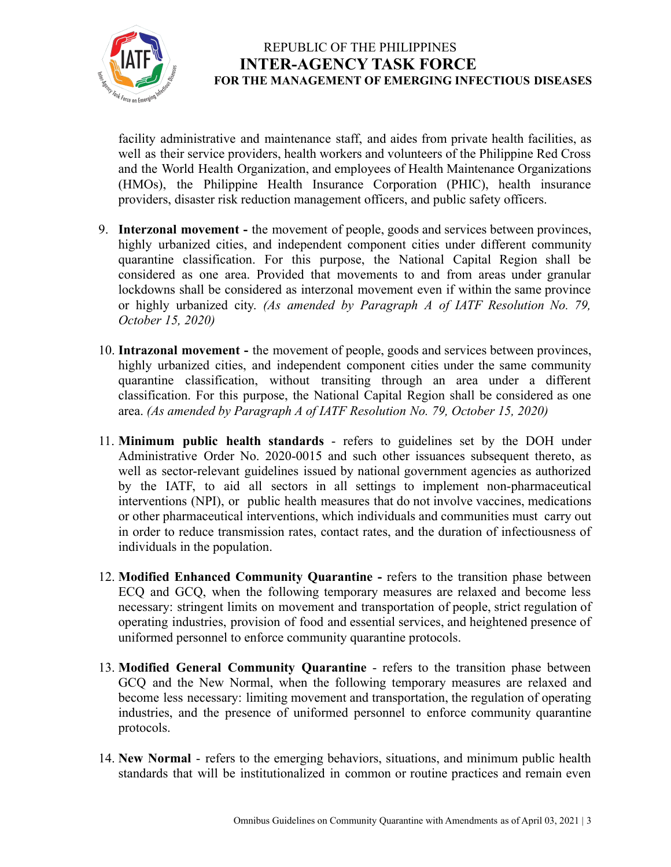

facility administrative and maintenance staff, and aides from private health facilities, as well as their service providers, health workers and volunteers of the Philippine Red Cross and the World Health Organization, and employees of Health Maintenance Organizations (HMOs), the Philippine Health Insurance Corporation (PHIC), health insurance providers, disaster risk reduction management officers, and public safety officers.

- 9. **Interzonal movement -** the movement of people, goods and services between provinces, highly urbanized cities, and independent component cities under different community quarantine classification. For this purpose, the National Capital Region shall be considered as one area. Provided that movements to and from areas under granular lockdowns shall be considered as interzonal movement even if within the same province or highly urbanized city. *(As amended by Paragraph A of IATF Resolution No. 79, October 15, 2020)*
- 10. **Intrazonal movement -** the movement of people, goods and services between provinces, highly urbanized cities, and independent component cities under the same community quarantine classification, without transiting through an area under a different classification. For this purpose, the National Capital Region shall be considered as one area. *(As amended by Paragraph A of IATF Resolution No. 79, October 15, 2020)*
- 11. **Minimum public health standards** refers to guidelines set by the DOH under Administrative Order No. 2020-0015 and such other issuances subsequent thereto, as well as sector-relevant guidelines issued by national government agencies as authorized by the IATF, to aid all sectors in all settings to implement non-pharmaceutical interventions (NPI), or public health measures that do not involve vaccines, medications or other pharmaceutical interventions, which individuals and communities must carry out in order to reduce transmission rates, contact rates, and the duration of infectiousness of individuals in the population.
- 12. **Modified Enhanced Community Quarantine -** refers to the transition phase between ECQ and GCQ, when the following temporary measures are relaxed and become less necessary: stringent limits on movement and transportation of people, strict regulation of operating industries, provision of food and essential services, and heightened presence of uniformed personnel to enforce community quarantine protocols.
- 13. **Modified General Community Quarantine** refers to the transition phase between GCQ and the New Normal, when the following temporary measures are relaxed and become less necessary: limiting movement and transportation, the regulation of operating industries, and the presence of uniformed personnel to enforce community quarantine protocols.
- 14. **New Normal** refers to the emerging behaviors, situations, and minimum public health standards that will be institutionalized in common or routine practices and remain even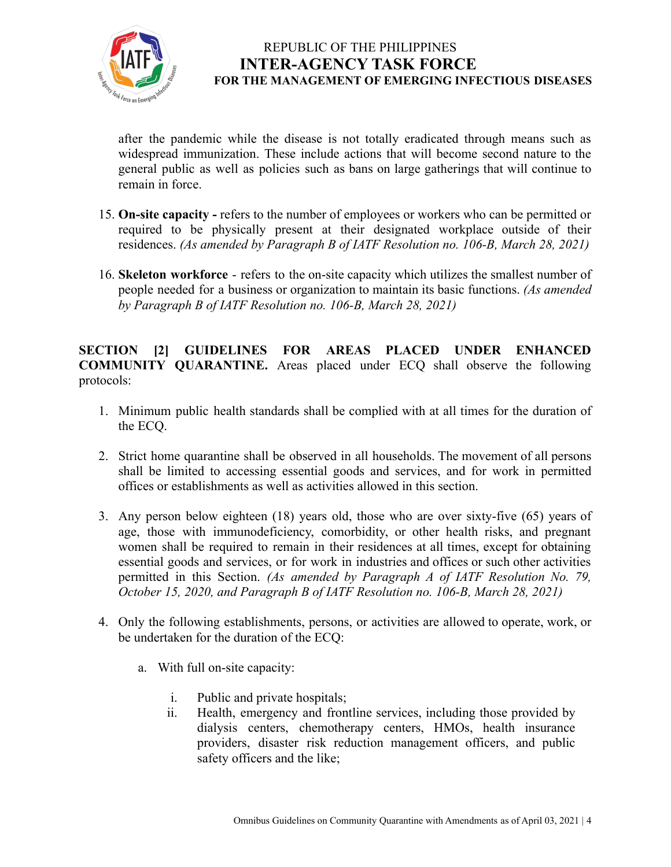

after the pandemic while the disease is not totally eradicated through means such as widespread immunization. These include actions that will become second nature to the general public as well as policies such as bans on large gatherings that will continue to remain in force.

- 15. **On-site capacity -** refers to the number of employees or workers who can be permitted or required to be physically present at their designated workplace outside of their residences. *(As amended by Paragraph B of IATF Resolution no. 106-B, March 28, 2021)*
- 16. **Skeleton workforce** refers to the on-site capacity which utilizes the [smallest](https://dictionary.cambridge.org/us/dictionary/english/small) [number](https://dictionary.cambridge.org/us/dictionary/english/number) of [people](https://dictionary.cambridge.org/us/dictionary/english/people) [needed](https://dictionary.cambridge.org/us/dictionary/english/needed) fora [business](https://dictionary.cambridge.org/us/dictionary/english/business)or [organization](https://dictionary.cambridge.org/us/dictionary/english/organization) to maintain its basic functions. *(As amended by Paragraph B of IATF Resolution no. 106-B, March 28, 2021)*

**SECTION [2] GUIDELINES FOR AREAS PLACED UNDER ENHANCED COMMUNITY QUARANTINE.** Areas placed under ECQ shall observe the following protocols:

- 1. Minimum public health standards shall be complied with at all times for the duration of the ECQ.
- 2. Strict home quarantine shall be observed in all households. The movement of all persons shall be limited to accessing essential goods and services, and for work in permitted offices or establishments as well as activities allowed in this section.
- 3. Any person below eighteen (18) years old, those who are over sixty-five (65) years of age, those with immunodeficiency, comorbidity, or other health risks, and pregnant women shall be required to remain in their residences at all times, except for obtaining essential goods and services, or for work in industries and offices or such other activities permitted in this Section. *(As amended by Paragraph A of IATF Resolution No. 79, October 15, 2020, and Paragraph B of IATF Resolution no. 106-B, March 28, 2021)*
- 4. Only the following establishments, persons, or activities are allowed to operate, work, or be undertaken for the duration of the ECQ:
	- a. With full on-site capacity:
		- i. Public and private hospitals;
		- ii. Health, emergency and frontline services, including those provided by dialysis centers, chemotherapy centers, HMOs, health insurance providers, disaster risk reduction management officers, and public safety officers and the like;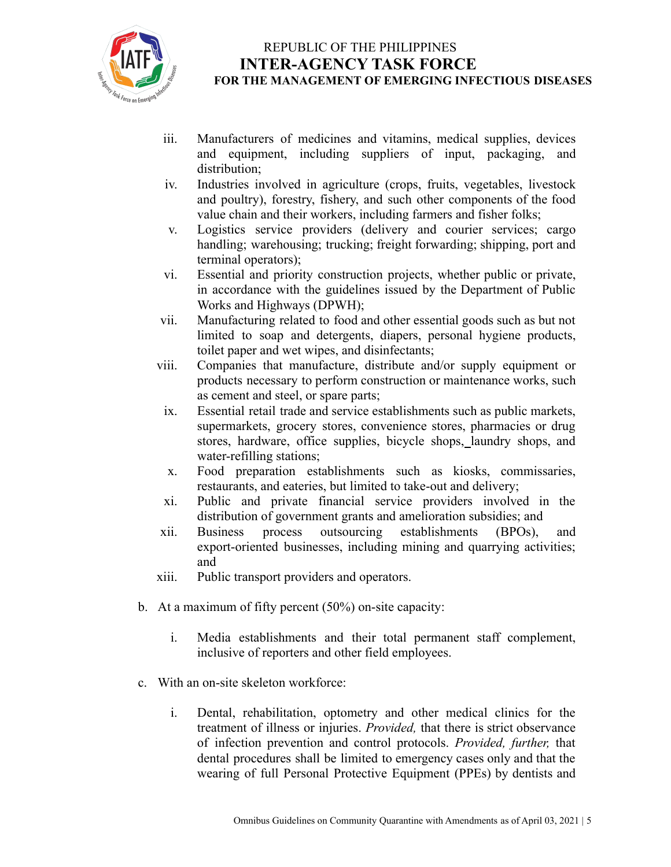

- iii. Manufacturers of medicines and vitamins, medical supplies, devices and equipment, including suppliers of input, packaging, and distribution;
- iv. Industries involved in agriculture (crops, fruits, vegetables, livestock and poultry), forestry, fishery, and such other components of the food value chain and their workers, including farmers and fisher folks;
- v. Logistics service providers (delivery and courier services; cargo handling; warehousing; trucking; freight forwarding; shipping, port and terminal operators);
- vi. Essential and priority construction projects, whether public or private, in accordance with the guidelines issued by the Department of Public Works and Highways (DPWH);
- vii. Manufacturing related to food and other essential goods such as but not limited to soap and detergents, diapers, personal hygiene products, toilet paper and wet wipes, and disinfectants;
- viii. Companies that manufacture, distribute and/or supply equipment or products necessary to perform construction or maintenance works, such as cement and steel, or spare parts;
- ix. Essential retail trade and service establishments such as public markets, supermarkets, grocery stores, convenience stores, pharmacies or drug stores, hardware, office supplies, bicycle shops, laundry shops, and water-refilling stations;
- x. Food preparation establishments such as kiosks, commissaries, restaurants, and eateries, but limited to take-out and delivery;
- xi. Public and private financial service providers involved in the distribution of government grants and amelioration subsidies; and<br>Business process outsourcing establishments (BPOs),
- xii. Business process outsourcing establishments (BPOs), and export-oriented businesses, including mining and quarrying activities; and
- xiii. Public transport providers and operators.
- b. At a maximum of fifty percent (50%) on-site capacity:
	- i. Media establishments and their total permanent staff complement, inclusive of reporters and other field employees.
- c. With an on-site skeleton workforce:
	- i. Dental, rehabilitation, optometry and other medical clinics for the treatment of illness or injuries. *Provided,* that there is strict observance of infection prevention and control protocols. *Provided, further,* that dental procedures shall be limited to emergency cases only and that the wearing of full Personal Protective Equipment (PPEs) by dentists and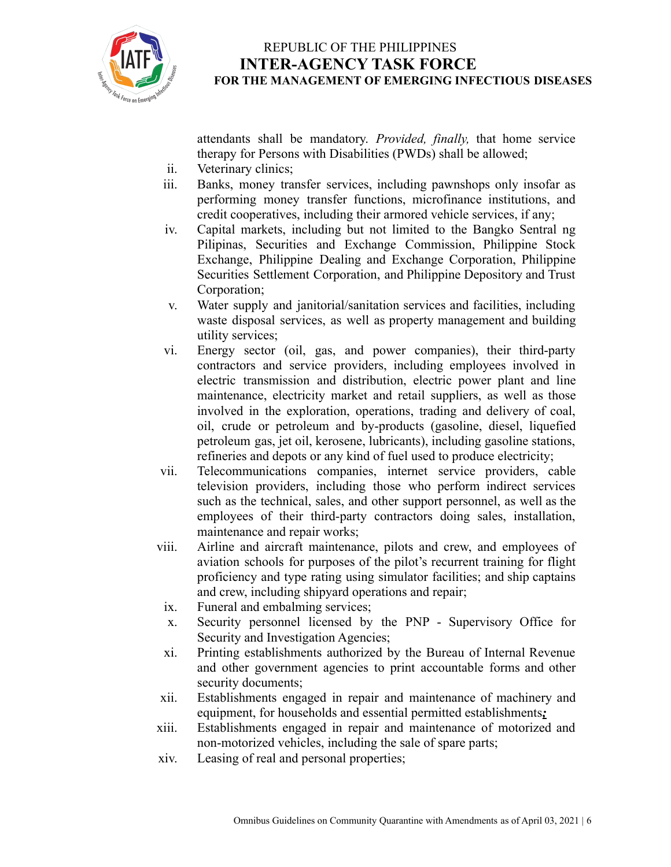

attendants shall be mandatory. *Provided, finally,* that home service therapy for Persons with Disabilities (PWDs) shall be allowed;

- ii. Veterinary clinics;
- iii. Banks, money transfer services, including pawnshops only insofar as performing money transfer functions, microfinance institutions, and credit cooperatives, including their armored vehicle services, if any;
- iv. Capital markets, including but not limited to the Bangko Sentral ng Pilipinas, Securities and Exchange Commission, Philippine Stock Exchange, Philippine Dealing and Exchange Corporation, Philippine Securities Settlement Corporation, and Philippine Depository and Trust Corporation;
- v. Water supply and janitorial/sanitation services and facilities, including waste disposal services, as well as property management and building utility services;
- vi. Energy sector (oil, gas, and power companies), their third-party contractors and service providers, including employees involved in electric transmission and distribution, electric power plant and line maintenance, electricity market and retail suppliers, as well as those involved in the exploration, operations, trading and delivery of coal, oil, crude or petroleum and by-products (gasoline, diesel, liquefied petroleum gas, jet oil, kerosene, lubricants), including gasoline stations, refineries and depots or any kind of fuel used to produce electricity;
- vii. Telecommunications companies, internet service providers, cable television providers, including those who perform indirect services such as the technical, sales, and other support personnel, as well as the employees of their third-party contractors doing sales, installation, maintenance and repair works;
- viii. Airline and aircraft maintenance, pilots and crew, and employees of aviation schools for purposes of the pilot's recurrent training for flight proficiency and type rating using simulator facilities; and ship captains and crew, including shipyard operations and repair;
- ix. Funeral and embalming services;
- x. Security personnel licensed by the PNP Supervisory Office for Security and Investigation Agencies;
- xi. Printing establishments authorized by the Bureau of Internal Revenue and other government agencies to print accountable forms and other security documents;
- xii. Establishments engaged in repair and maintenance of machinery and equipment, for households and essential permitted establishments*;*
- xiii. Establishments engaged in repair and maintenance of motorized and non-motorized vehicles, including the sale of spare parts;
- xiv. Leasing of real and personal properties;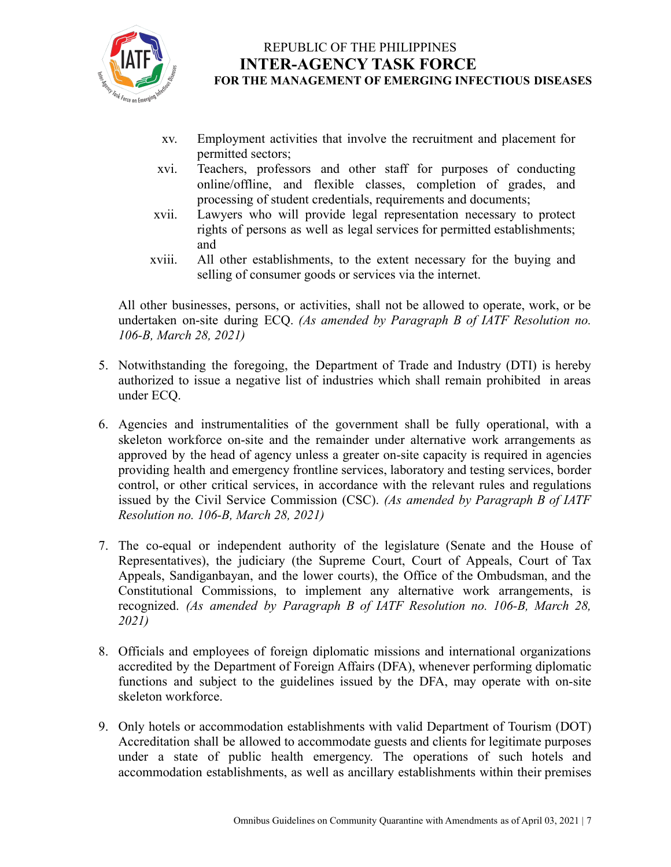

- xv. Employment activities that involve the recruitment and placement for permitted sectors;
- xvi. Teachers, professors and other staff for purposes of conducting online/offline, and flexible classes, completion of grades, and processing of student credentials, requirements and documents;
- xvii. Lawyers who will provide legal representation necessary to protect rights of persons as well as legal services for permitted establishments; and
- xviii. All other establishments, to the extent necessary for the buying and selling of consumer goods or services via the internet.

All other businesses, persons, or activities, shall not be allowed to operate, work, or be undertaken on-site during ECQ. *(As amended by Paragraph B of IATF Resolution no. 106-B, March 28, 2021)*

- 5. Notwithstanding the foregoing, the Department of Trade and Industry (DTI) is hereby authorized to issue a negative list of industries which shall remain prohibited in areas under ECQ.
- 6. Agencies and instrumentalities of the government shall be fully operational, with a skeleton workforce on-site and the remainder under alternative work arrangements as approved by the head of agency unless a greater on-site capacity is required in agencies providing health and emergency frontline services, laboratory and testing services, border control, or other critical services, in accordance with the relevant rules and regulations issued by the Civil Service Commission (CSC). *(As amended by Paragraph B of IATF Resolution no. 106-B, March 28, 2021)*
- 7. The co-equal or independent authority of the legislature (Senate and the House of Representatives), the judiciary (the Supreme Court, Court of Appeals, Court of Tax Appeals, Sandiganbayan, and the lower courts), the Office of the Ombudsman, and the Constitutional Commissions, to implement any alternative work arrangements, is recognized. *(As amended by Paragraph B of IATF Resolution no. 106-B, March 28, 2021)*
- 8. Officials and employees of foreign diplomatic missions and international organizations accredited by the Department of Foreign Affairs (DFA), whenever performing diplomatic functions and subject to the guidelines issued by the DFA, may operate with on-site skeleton workforce.
- 9. Only hotels or accommodation establishments with valid Department of Tourism (DOT) Accreditation shall be allowed to accommodate guests and clients for legitimate purposes under a state of public health emergency. The operations of such hotels and accommodation establishments, as well as ancillary establishments within their premises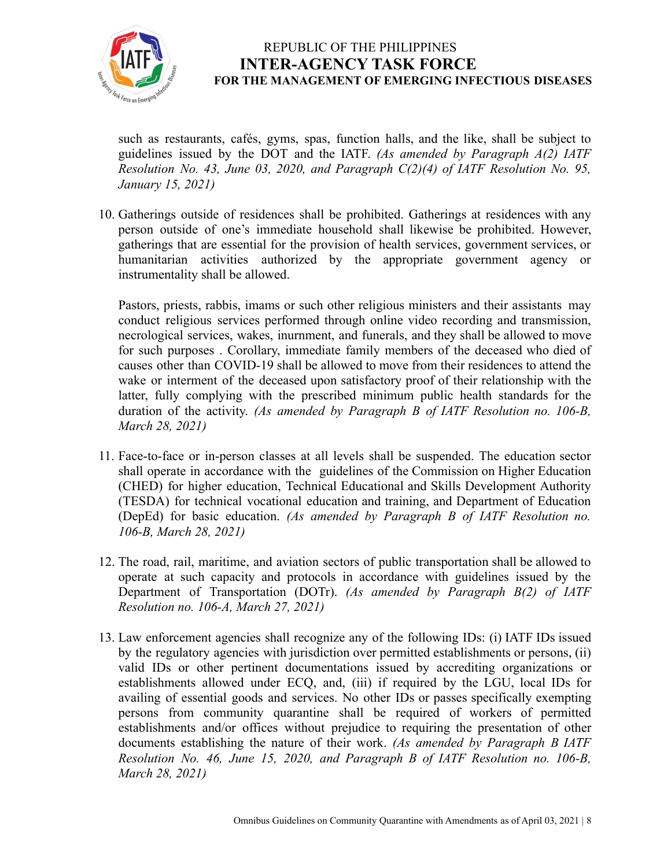

such as restaurants, cafés, gyms, spas, function halls, and the like, shall be subject to guidelines issued by the DOT and the IATF. *(As amended by Paragraph A(2) IATF Resolution No. 43, June 03, 2020, and Paragraph C(2)(4) of IATF Resolution No. 95, January 15, 2021)*

10. Gatherings outside of residences shall be prohibited. Gatherings at residences with any person outside of one's immediate household shall likewise be prohibited. However, gatherings that are essential for the provision of health services, government services, or humanitarian activities authorized by the appropriate government agency or instrumentality shall be allowed.

Pastors, priests, rabbis, imams or such other religious ministers and their assistants may conduct religious services performed through online video recording and transmission, necrological services, wakes, inurnment, and funerals, and they shall be allowed to move for such purposes . Corollary, immediate family members of the deceased who died of causes other than COVID-19 shall be allowed to move from their residences to attend the wake or interment of the deceased upon satisfactory proof of their relationship with the latter, fully complying with the prescribed minimum public health standards for the duration of the activity. *(As amended by Paragraph B of IATF Resolution no. 106-B, March 28, 2021)*

- 11. Face-to-face or in-person classes at all levels shall be suspended. The education sector shall operate in accordance with the guidelines of the Commission on Higher Education (CHED) for higher education, Technical Educational and Skills Development Authority (TESDA) for technical vocational education and training, and Department of Education (DepEd) for basic education. *(As amended by Paragraph B of IATF Resolution no. 106-B, March 28, 2021)*
- 12. The road, rail, maritime, and aviation sectors of public transportation shall be allowed to operate at such capacity and protocols in accordance with guidelines issued by the Department of Transportation (DOTr). *(As amended by Paragraph B(2) of IATF Resolution no. 106-A, March 27, 2021)*
- 13. Law enforcement agencies shall recognize any of the following IDs: (i) IATF IDs issued by the regulatory agencies with jurisdiction over permitted establishments or persons, (ii) valid IDs or other pertinent documentations issued by accrediting organizations or establishments allowed under ECQ, and, (iii) if required by the LGU, local IDs for availing of essential goods and services. No other IDs or passes specifically exempting persons from community quarantine shall be required of workers of permitted establishments and/or offices without prejudice to requiring the presentation of other documents establishing the nature of their work. *(As amended by Paragraph B IATF Resolution No. 46, June 15, 2020, and Paragraph B of IATF Resolution no. 106-B, March 28, 2021)*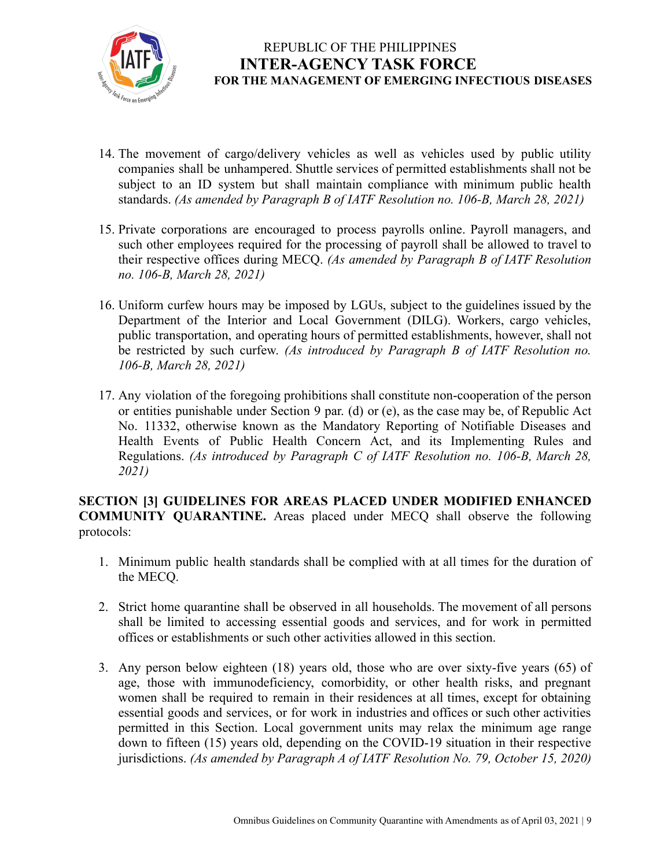

- 14. The movement of cargo/delivery vehicles as well as vehicles used by public utility companies shall be unhampered. Shuttle services of permitted establishments shall not be subject to an ID system but shall maintain compliance with minimum public health standards. *(As amended by Paragraph B of IATF Resolution no. 106-B, March 28, 2021)*
- 15. Private corporations are encouraged to process payrolls online. Payroll managers, and such other employees required for the processing of payroll shall be allowed to travel to their respective offices during MECQ. *(As amended by Paragraph B of IATF Resolution no. 106-B, March 28, 2021)*
- 16. Uniform curfew hours may be imposed by LGUs, subject to the guidelines issued by the Department of the Interior and Local Government (DILG). Workers, cargo vehicles, public transportation, and operating hours of permitted establishments, however, shall not be restricted by such curfew. *(As introduced by Paragraph B of IATF Resolution no. 106-B, March 28, 2021)*
- 17. Any violation of the foregoing prohibitions shall constitute non-cooperation of the person or entities punishable under Section 9 par. (d) or (e), as the case may be, of Republic Act No. 11332, otherwise known as the Mandatory Reporting of Notifiable Diseases and Health Events of Public Health Concern Act, and its Implementing Rules and Regulations. *(As introduced by Paragraph C of IATF Resolution no. 106-B, March 28, 2021)*

#### **SECTION [3] GUIDELINES FOR AREAS PLACED UNDER MODIFIED ENHANCED COMMUNITY QUARANTINE.** Areas placed under MECQ shall observe the following protocols:

- 1. Minimum public health standards shall be complied with at all times for the duration of the MECQ.
- 2. Strict home quarantine shall be observed in all households. The movement of all persons shall be limited to accessing essential goods and services, and for work in permitted offices or establishments or such other activities allowed in this section.
- 3. Any person below eighteen (18) years old, those who are over sixty-five years (65) of age, those with immunodeficiency, comorbidity, or other health risks, and pregnant women shall be required to remain in their residences at all times, except for obtaining essential goods and services, or for work in industries and offices or such other activities permitted in this Section. Local government units may relax the minimum age range down to fifteen (15) years old, depending on the COVID-19 situation in their respective jurisdictions. *(As amended by Paragraph A of IATF Resolution No. 79, October 15, 2020)*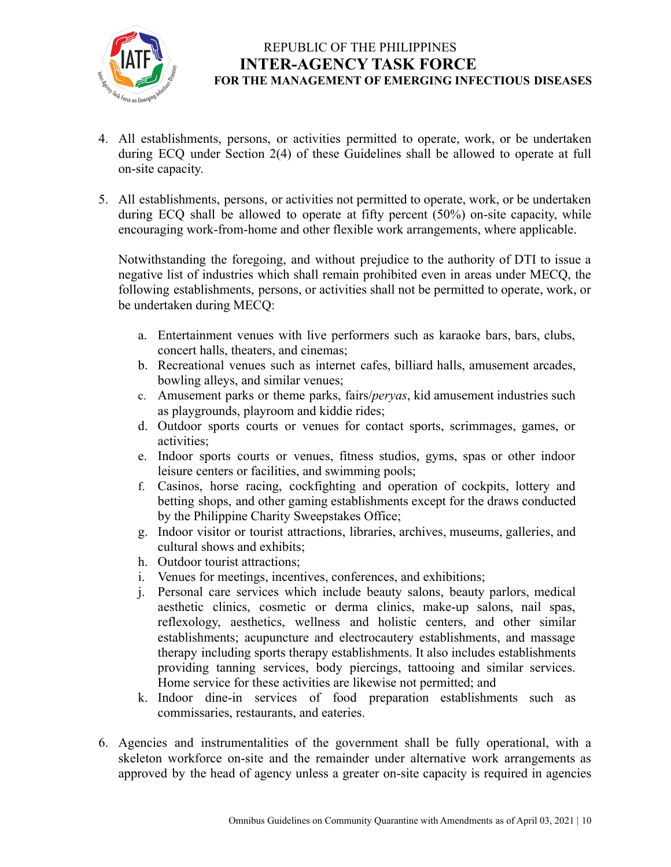

- 4. All establishments, persons, or activities permitted to operate, work, or be undertaken during ECQ under Section 2(4) of these Guidelines shall be allowed to operate at full on-site capacity.
- 5. All establishments, persons, or activities not permitted to operate, work, or be undertaken during ECQ shall be allowed to operate at fifty percent (50%) on-site capacity, while encouraging work-from-home and other flexible work arrangements, where applicable.

Notwithstanding the foregoing, and without prejudice to the authority of DTI to issue a negative list of industries which shall remain prohibited even in areas under MECQ, the following establishments, persons, or activities shall not be permitted to operate, work, or be undertaken during MECQ:

- a. Entertainment venues with live performers such as karaoke bars, bars, clubs, concert halls, theaters, and cinemas;
- b. Recreational venues such as internet cafes, billiard halls, amusement arcades, bowling alleys, and similar venues;
- c. Amusement parks or theme parks, fairs/*peryas*, kid amusement industries such as playgrounds, playroom and kiddie rides;
- d. Outdoor sports courts or venues for contact sports, scrimmages, games, or activities;
- e. Indoor sports courts or venues, fitness studios, gyms, spas or other indoor leisure centers or facilities, and swimming pools;
- f. Casinos, horse racing, cockfighting and operation of cockpits, lottery and betting shops, and other gaming establishments except for the draws conducted by the Philippine Charity Sweepstakes Office;
- g. Indoor visitor or tourist attractions, libraries, archives, museums, galleries, and cultural shows and exhibits;
- h. Outdoor tourist attractions;
- i. Venues for meetings, incentives, conferences, and exhibitions;
- j. Personal care services which include beauty salons, beauty parlors, medical aesthetic clinics, cosmetic or derma clinics, make-up salons, nail spas, reflexology, aesthetics, wellness and holistic centers, and other similar establishments; acupuncture and electrocautery establishments, and massage therapy including sports therapy establishments. It also includes establishments providing tanning services, body piercings, tattooing and similar services. Home service for these activities are likewise not permitted; and
- k. Indoor dine-in services of food preparation establishments such as commissaries, restaurants, and eateries.
- 6. Agencies and instrumentalities of the government shall be fully operational, with a skeleton workforce on-site and the remainder under alternative work arrangements as approved by the head of agency unless a greater on-site capacity is required in agencies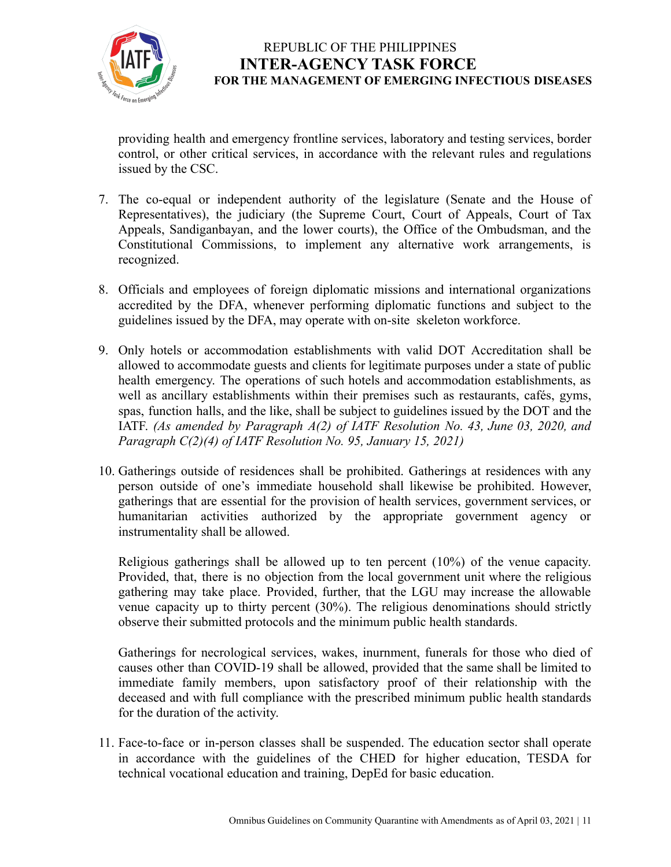

providing health and emergency frontline services, laboratory and testing services, border control, or other critical services, in accordance with the relevant rules and regulations issued by the CSC.

- 7. The co-equal or independent authority of the legislature (Senate and the House of Representatives), the judiciary (the Supreme Court, Court of Appeals, Court of Tax Appeals, Sandiganbayan, and the lower courts), the Office of the Ombudsman, and the Constitutional Commissions, to implement any alternative work arrangements, is recognized.
- 8. Officials and employees of foreign diplomatic missions and international organizations accredited by the DFA, whenever performing diplomatic functions and subject to the guidelines issued by the DFA, may operate with on-site skeleton workforce.
- 9. Only hotels or accommodation establishments with valid DOT Accreditation shall be allowed to accommodate guests and clients for legitimate purposes under a state of public health emergency. The operations of such hotels and accommodation establishments, as well as ancillary establishments within their premises such as restaurants, cafés, gyms, spas, function halls, and the like, shall be subject to guidelines issued by the DOT and the IATF. *(As amended by Paragraph A(2) of IATF Resolution No. 43, June 03, 2020, and Paragraph C(2)(4) of IATF Resolution No. 95, January 15, 2021)*
- 10. Gatherings outside of residences shall be prohibited. Gatherings at residences with any person outside of one's immediate household shall likewise be prohibited. However, gatherings that are essential for the provision of health services, government services, or humanitarian activities authorized by the appropriate government agency or instrumentality shall be allowed.

Religious gatherings shall be allowed up to ten percent (10%) of the venue capacity. Provided, that, there is no objection from the local government unit where the religious gathering may take place. Provided, further, that the LGU may increase the allowable venue capacity up to thirty percent (30%). The religious denominations should strictly observe their submitted protocols and the minimum public health standards.

Gatherings for necrological services, wakes, inurnment, funerals for those who died of causes other than COVID-19 shall be allowed, provided that the same shall be limited to immediate family members, upon satisfactory proof of their relationship with the deceased and with full compliance with the prescribed minimum public health standards for the duration of the activity.

11. Face-to-face or in-person classes shall be suspended. The education sector shall operate in accordance with the guidelines of the CHED for higher education, TESDA for technical vocational education and training, DepEd for basic education.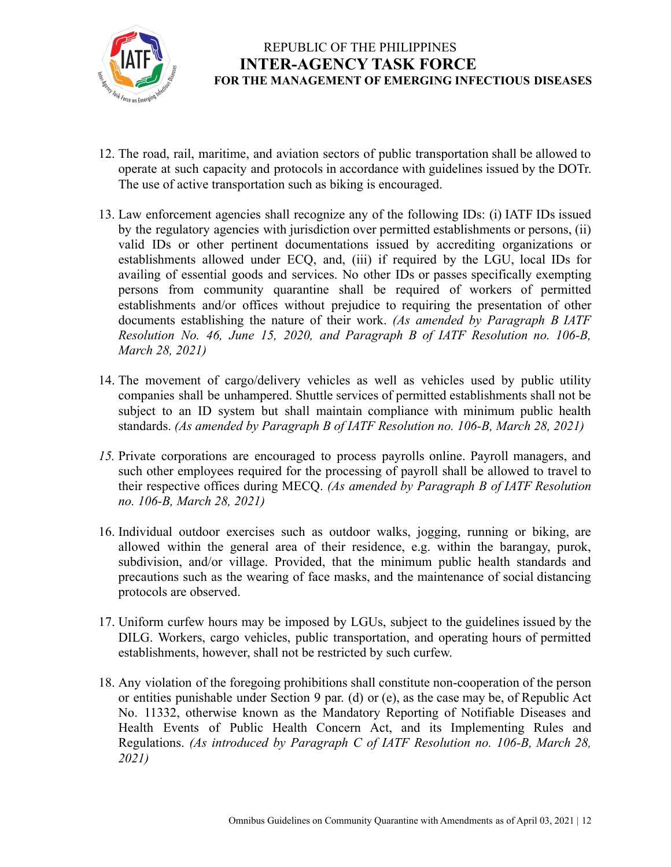

- 12. The road, rail, maritime, and aviation sectors of public transportation shall be allowed to operate at such capacity and protocols in accordance with guidelines issued by the DOTr. The use of active transportation such as biking is encouraged.
- 13. Law enforcement agencies shall recognize any of the following IDs: (i) IATF IDs issued by the regulatory agencies with jurisdiction over permitted establishments or persons, (ii) valid IDs or other pertinent documentations issued by accrediting organizations or establishments allowed under ECQ, and, (iii) if required by the LGU, local IDs for availing of essential goods and services. No other IDs or passes specifically exempting persons from community quarantine shall be required of workers of permitted establishments and/or offices without prejudice to requiring the presentation of other documents establishing the nature of their work. *(As amended by Paragraph B IATF Resolution No. 46, June 15, 2020, and Paragraph B of IATF Resolution no. 106-B, March 28, 2021)*
- 14. The movement of cargo/delivery vehicles as well as vehicles used by public utility companies shall be unhampered. Shuttle services of permitted establishments shall not be subject to an ID system but shall maintain compliance with minimum public health standards. *(As amended by Paragraph B of IATF Resolution no. 106-B, March 28, 2021)*
- *15.* Private corporations are encouraged to process payrolls online. Payroll managers, and such other employees required for the processing of payroll shall be allowed to travel to their respective offices during MECQ. *(As amended by Paragraph B of IATF Resolution no. 106-B, March 28, 2021)*
- 16. Individual outdoor exercises such as outdoor walks, jogging, running or biking, are allowed within the general area of their residence, e.g. within the barangay, purok, subdivision, and/or village. Provided, that the minimum public health standards and precautions such as the wearing of face masks, and the maintenance of social distancing protocols are observed.
- 17. Uniform curfew hours may be imposed by LGUs, subject to the guidelines issued by the DILG. Workers, cargo vehicles, public transportation, and operating hours of permitted establishments, however, shall not be restricted by such curfew.
- 18. Any violation of the foregoing prohibitions shall constitute non-cooperation of the person or entities punishable under Section 9 par. (d) or (e), as the case may be, of Republic Act No. 11332, otherwise known as the Mandatory Reporting of Notifiable Diseases and Health Events of Public Health Concern Act, and its Implementing Rules and Regulations. *(As introduced by Paragraph C of IATF Resolution no. 106-B, March 28, 2021)*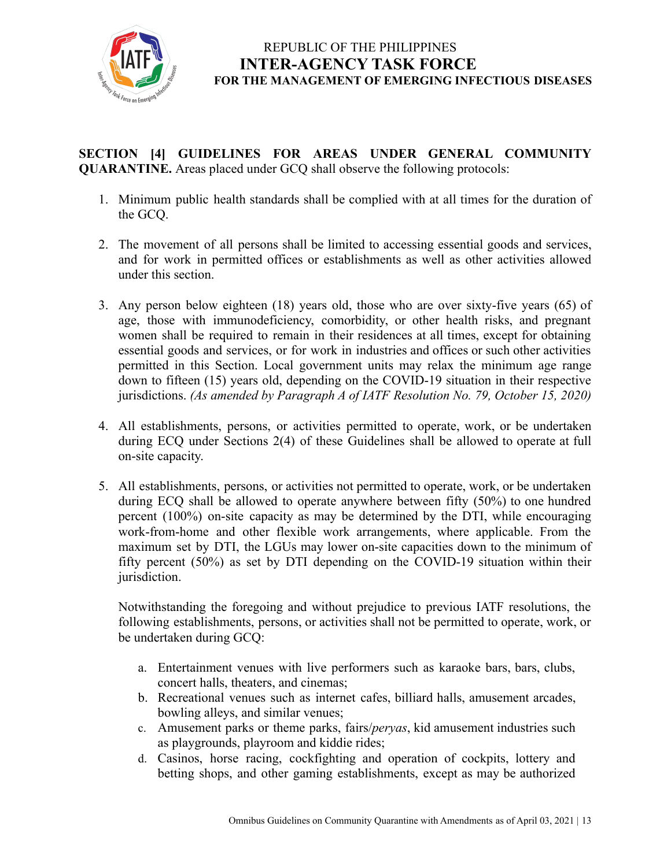

### **SECTION [4] GUIDELINES FOR AREAS UNDER GENERAL COMMUNITY QUARANTINE.** Areas placed under GCQ shall observe the following protocols:

- 1. Minimum public health standards shall be complied with at all times for the duration of the GCQ.
- 2. The movement of all persons shall be limited to accessing essential goods and services, and for work in permitted offices or establishments as well as other activities allowed under this section.
- 3. Any person below eighteen (18) years old, those who are over sixty-five years (65) of age, those with immunodeficiency, comorbidity, or other health risks, and pregnant women shall be required to remain in their residences at all times, except for obtaining essential goods and services, or for work in industries and offices or such other activities permitted in this Section. Local government units may relax the minimum age range down to fifteen (15) years old, depending on the COVID-19 situation in their respective jurisdictions. *(As amended by Paragraph A of IATF Resolution No. 79, October 15, 2020)*
- 4. All establishments, persons, or activities permitted to operate, work, or be undertaken during ECQ under Sections 2(4) of these Guidelines shall be allowed to operate at full on-site capacity.
- 5. All establishments, persons, or activities not permitted to operate, work, or be undertaken during ECQ shall be allowed to operate anywhere between fifty (50%) to one hundred percent (100%) on-site capacity as may be determined by the DTI, while encouraging work-from-home and other flexible work arrangements, where applicable. From the maximum set by DTI, the LGUs may lower on-site capacities down to the minimum of fifty percent (50%) as set by DTI depending on the COVID-19 situation within their jurisdiction.

Notwithstanding the foregoing and without prejudice to previous IATF resolutions, the following establishments, persons, or activities shall not be permitted to operate, work, or be undertaken during GCQ:

- a. Entertainment venues with live performers such as karaoke bars, bars, clubs, concert halls, theaters, and cinemas;
- b. Recreational venues such as internet cafes, billiard halls, amusement arcades, bowling alleys, and similar venues;
- c. Amusement parks or theme parks, fairs/*peryas*, kid amusement industries such as playgrounds, playroom and kiddie rides;
- d. Casinos, horse racing, cockfighting and operation of cockpits, lottery and betting shops, and other gaming establishments, except as may be authorized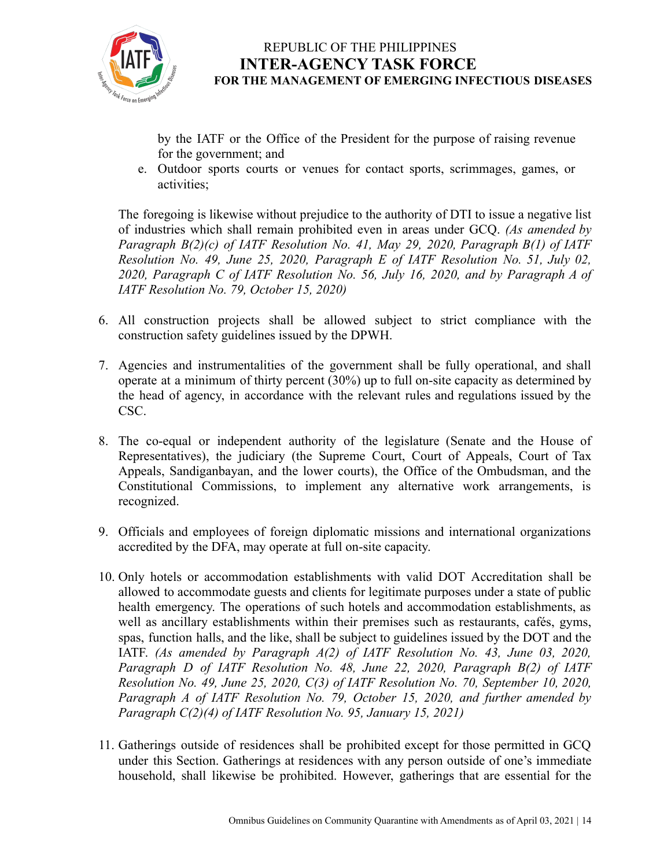

by the IATF or the Office of the President for the purpose of raising revenue for the government; and

e. Outdoor sports courts or venues for contact sports, scrimmages, games, or activities;

The foregoing is likewise without prejudice to the authority of DTI to issue a negative list of industries which shall remain prohibited even in areas under GCQ. *(As amended by Paragraph B(2)(c) of IATF Resolution No. 41, May 29, 2020, Paragraph B(1) of IATF Resolution No. 49, June 25, 2020, Paragraph E of IATF Resolution No. 51, July 02, 2020, Paragraph C of IATF Resolution No. 56, July 16, 2020, and by Paragraph A of IATF Resolution No. 79, October 15, 2020)*

- 6. All construction projects shall be allowed subject to strict compliance with the construction safety guidelines issued by the DPWH.
- 7. Agencies and instrumentalities of the government shall be fully operational, and shall operate at a minimum of thirty percent (30%) up to full on-site capacity as determined by the head of agency, in accordance with the relevant rules and regulations issued by the CSC.
- 8. The co-equal or independent authority of the legislature (Senate and the House of Representatives), the judiciary (the Supreme Court, Court of Appeals, Court of Tax Appeals, Sandiganbayan, and the lower courts), the Office of the Ombudsman, and the Constitutional Commissions, to implement any alternative work arrangements, is recognized.
- 9. Officials and employees of foreign diplomatic missions and international organizations accredited by the DFA, may operate at full on-site capacity.
- 10. Only hotels or accommodation establishments with valid DOT Accreditation shall be allowed to accommodate guests and clients for legitimate purposes under a state of public health emergency. The operations of such hotels and accommodation establishments, as well as ancillary establishments within their premises such as restaurants, cafés, gyms, spas, function halls, and the like, shall be subject to guidelines issued by the DOT and the IATF. *(As amended by Paragraph A(2) of IATF Resolution No. 43, June 03, 2020, Paragraph D of IATF Resolution No. 48, June 22, 2020, Paragraph B(2) of IATF Resolution No. 49, June 25, 2020, C(3) of IATF Resolution No. 70, September 10, 2020, Paragraph A of IATF Resolution No. 79, October 15, 2020, and further amended by Paragraph C(2)(4) of IATF Resolution No. 95, January 15, 2021)*
- 11. Gatherings outside of residences shall be prohibited except for those permitted in GCQ under this Section. Gatherings at residences with any person outside of one's immediate household, shall likewise be prohibited. However, gatherings that are essential for the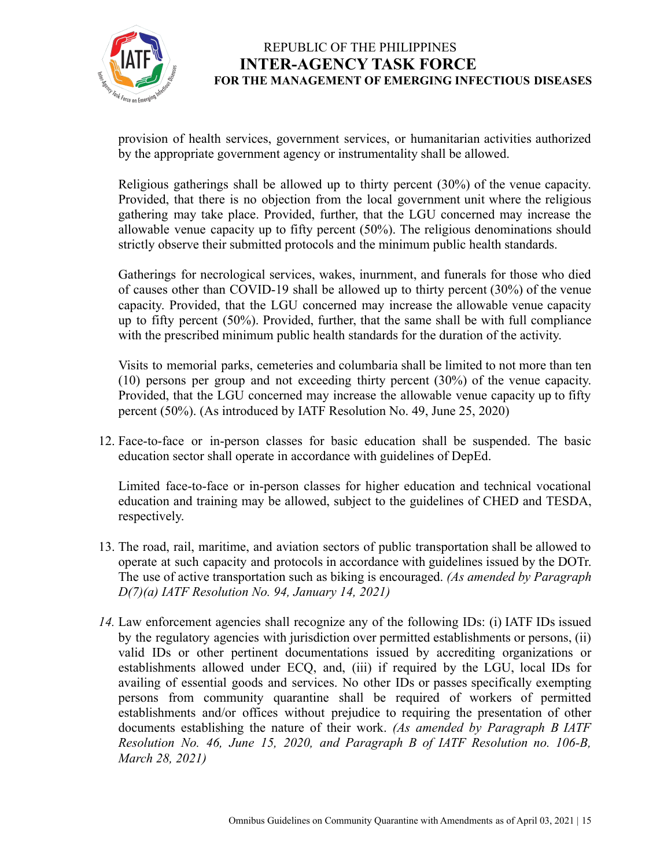

provision of health services, government services, or humanitarian activities authorized by the appropriate government agency or instrumentality shall be allowed.

Religious gatherings shall be allowed up to thirty percent (30%) of the venue capacity. Provided, that there is no objection from the local government unit where the religious gathering may take place. Provided, further, that the LGU concerned may increase the allowable venue capacity up to fifty percent (50%). The religious denominations should strictly observe their submitted protocols and the minimum public health standards.

Gatherings for necrological services, wakes, inurnment, and funerals for those who died of causes other than COVID-19 shall be allowed up to thirty percent (30%) of the venue capacity. Provided, that the LGU concerned may increase the allowable venue capacity up to fifty percent (50%). Provided, further, that the same shall be with full compliance with the prescribed minimum public health standards for the duration of the activity.

Visits to memorial parks, cemeteries and columbaria shall be limited to not more than ten (10) persons per group and not exceeding thirty percent (30%) of the venue capacity. Provided, that the LGU concerned may increase the allowable venue capacity up to fifty percent (50%). (As introduced by IATF Resolution No. 49, June 25, 2020)

12. Face-to-face or in-person classes for basic education shall be suspended. The basic education sector shall operate in accordance with guidelines of DepEd.

Limited face-to-face or in-person classes for higher education and technical vocational education and training may be allowed, subject to the guidelines of CHED and TESDA, respectively.

- 13. The road, rail, maritime, and aviation sectors of public transportation shall be allowed to operate at such capacity and protocols in accordance with guidelines issued by the DOTr. The use of active transportation such as biking is encouraged. *(As amended by Paragraph D(7)(a) IATF Resolution No. 94, January 14, 2021)*
- *14.* Law enforcement agencies shall recognize any of the following IDs: (i) IATF IDs issued by the regulatory agencies with jurisdiction over permitted establishments or persons, (ii) valid IDs or other pertinent documentations issued by accrediting organizations or establishments allowed under ECQ, and, (iii) if required by the LGU, local IDs for availing of essential goods and services. No other IDs or passes specifically exempting persons from community quarantine shall be required of workers of permitted establishments and/or offices without prejudice to requiring the presentation of other documents establishing the nature of their work. *(As amended by Paragraph B IATF Resolution No. 46, June 15, 2020, and Paragraph B of IATF Resolution no. 106-B, March 28, 2021)*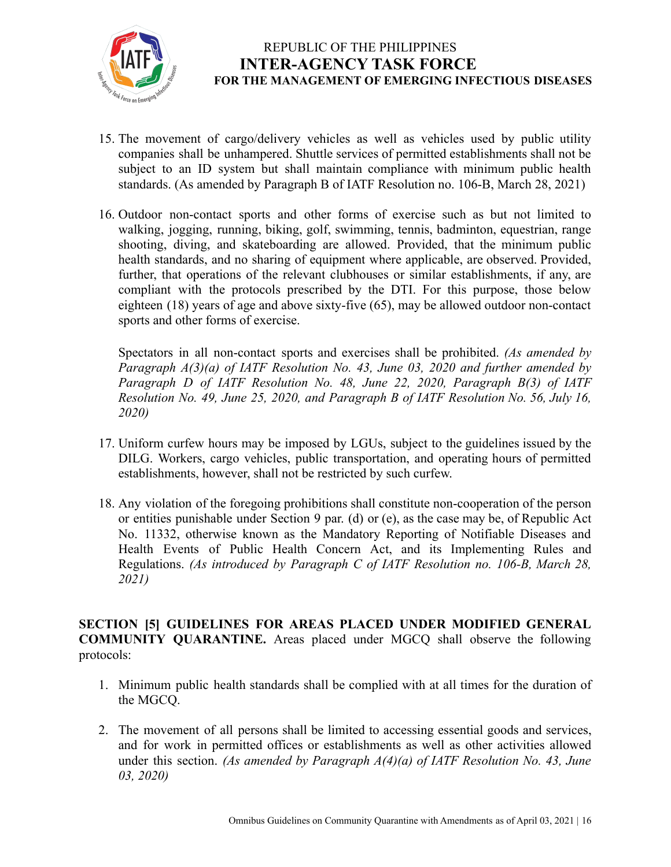

- 15. The movement of cargo/delivery vehicles as well as vehicles used by public utility companies shall be unhampered. Shuttle services of permitted establishments shall not be subject to an ID system but shall maintain compliance with minimum public health standards. (As amended by Paragraph B of IATF Resolution no. 106-B, March 28, 2021)
- 16. Outdoor non-contact sports and other forms of exercise such as but not limited to walking, jogging, running, biking, golf, swimming, tennis, badminton, equestrian, range shooting, diving, and skateboarding are allowed. Provided, that the minimum public health standards, and no sharing of equipment where applicable, are observed. Provided, further, that operations of the relevant clubhouses or similar establishments, if any, are compliant with the protocols prescribed by the DTI. For this purpose, those below eighteen (18) years of age and above sixty-five (65), may be allowed outdoor non-contact sports and other forms of exercise.

Spectators in all non-contact sports and exercises shall be prohibited. *(As amended by Paragraph A(3)(a) of IATF Resolution No. 43, June 03, 2020 and further amended by Paragraph D of IATF Resolution No. 48, June 22, 2020, Paragraph B(3) of IATF Resolution No. 49, June 25, 2020, and Paragraph B of IATF Resolution No. 56, July 16, 2020)*

- 17. Uniform curfew hours may be imposed by LGUs, subject to the guidelines issued by the DILG. Workers, cargo vehicles, public transportation, and operating hours of permitted establishments, however, shall not be restricted by such curfew.
- 18. Any violation of the foregoing prohibitions shall constitute non-cooperation of the person or entities punishable under Section 9 par. (d) or (e), as the case may be, of Republic Act No. 11332, otherwise known as the Mandatory Reporting of Notifiable Diseases and Health Events of Public Health Concern Act, and its Implementing Rules and Regulations. *(As introduced by Paragraph C of IATF Resolution no. 106-B, March 28, 2021)*

#### **SECTION [5] GUIDELINES FOR AREAS PLACED UNDER MODIFIED GENERAL COMMUNITY QUARANTINE.** Areas placed under MGCQ shall observe the following protocols:

- 1. Minimum public health standards shall be complied with at all times for the duration of the MGCQ.
- 2. The movement of all persons shall be limited to accessing essential goods and services, and for work in permitted offices or establishments as well as other activities allowed under this section. *(As amended by Paragraph A(4)(a) of IATF Resolution No. 43, June 03, 2020)*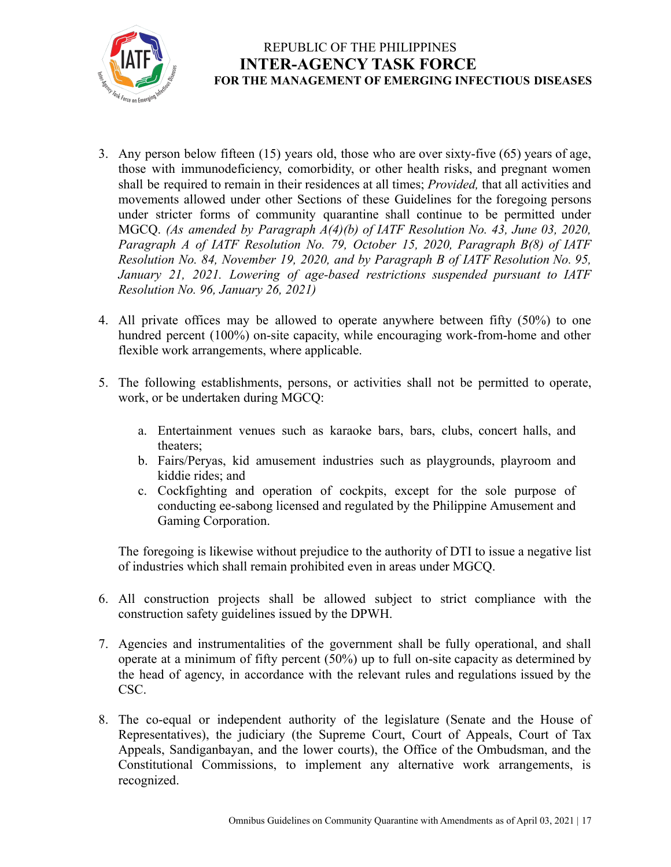

- 3. Any person below fifteen (15) years old, those who are over sixty-five (65) years of age, those with immunodeficiency, comorbidity, or other health risks, and pregnant women shall be required to remain in their residences at all times; *Provided,* that all activities and movements allowed under other Sections of these Guidelines for the foregoing persons under stricter forms of community quarantine shall continue to be permitted under MGCQ. *(As amended by Paragraph A(4)(b) of IATF Resolution No. 43, June 03, 2020, Paragraph A of IATF Resolution No. 79, October 15, 2020, Paragraph B(8) of IATF Resolution No. 84, November 19, 2020, and by Paragraph B of IATF Resolution No. 95, January 21, 2021. Lowering of age-based restrictions suspended pursuant to IATF Resolution No. 96, January 26, 2021)*
- 4. All private offices may be allowed to operate anywhere between fifty (50%) to one hundred percent (100%) on-site capacity, while encouraging work-from-home and other flexible work arrangements, where applicable.
- 5. The following establishments, persons, or activities shall not be permitted to operate, work, or be undertaken during MGCQ:
	- a. Entertainment venues such as karaoke bars, bars, clubs, concert halls, and theaters;
	- b. Fairs/Peryas, kid amusement industries such as playgrounds, playroom and kiddie rides; and
	- c. Cockfighting and operation of cockpits, except for the sole purpose of conducting ee-sabong licensed and regulated by the Philippine Amusement and Gaming Corporation.

The foregoing is likewise without prejudice to the authority of DTI to issue a negative list of industries which shall remain prohibited even in areas under MGCQ.

- 6. All construction projects shall be allowed subject to strict compliance with the construction safety guidelines issued by the DPWH.
- 7. Agencies and instrumentalities of the government shall be fully operational, and shall operate at a minimum of fifty percent  $(50%)$  up to full on-site capacity as determined by the head of agency, in accordance with the relevant rules and regulations issued by the CSC.
- 8. The co-equal or independent authority of the legislature (Senate and the House of Representatives), the judiciary (the Supreme Court, Court of Appeals, Court of Tax Appeals, Sandiganbayan, and the lower courts), the Office of the Ombudsman, and the Constitutional Commissions, to implement any alternative work arrangements, is recognized.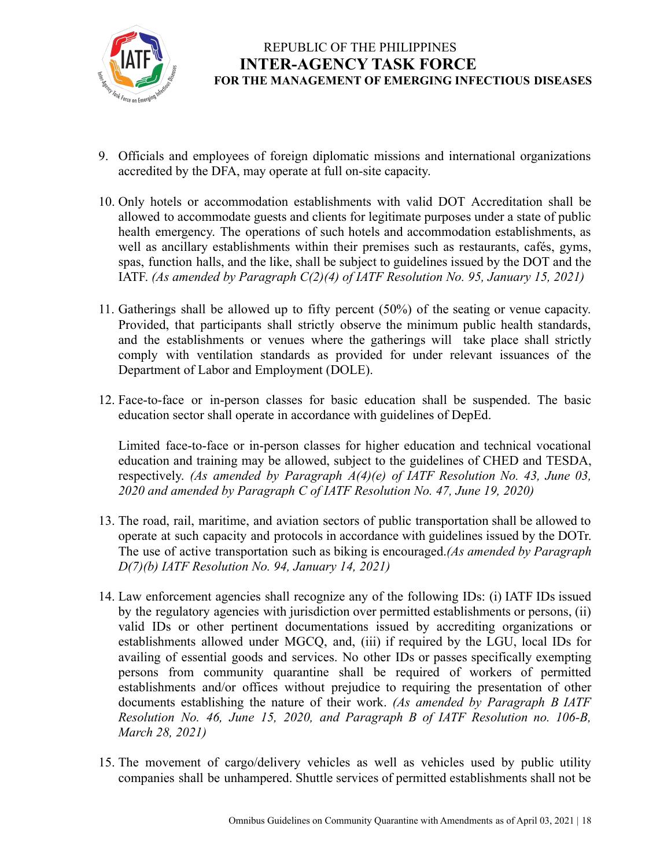

- 9. Officials and employees of foreign diplomatic missions and international organizations accredited by the DFA, may operate at full on-site capacity.
- 10. Only hotels or accommodation establishments with valid DOT Accreditation shall be allowed to accommodate guests and clients for legitimate purposes under a state of public health emergency. The operations of such hotels and accommodation establishments, as well as ancillary establishments within their premises such as restaurants, cafés, gyms, spas, function halls, and the like, shall be subject to guidelines issued by the DOT and the IATF. *(As amended by Paragraph C(2)(4) of IATF Resolution No. 95, January 15, 2021)*
- 11. Gatherings shall be allowed up to fifty percent (50%) of the seating or venue capacity. Provided, that participants shall strictly observe the minimum public health standards, and the establishments or venues where the gatherings will take place shall strictly comply with ventilation standards as provided for under relevant issuances of the Department of Labor and Employment (DOLE).
- 12. Face-to-face or in-person classes for basic education shall be suspended. The basic education sector shall operate in accordance with guidelines of DepEd.

Limited face-to-face or in-person classes for higher education and technical vocational education and training may be allowed, subject to the guidelines of CHED and TESDA, respectively. *(As amended by Paragraph A(4)(e) of IATF Resolution No. 43, June 03, 2020 and amended by Paragraph C of IATF Resolution No. 47, June 19, 2020)*

- 13. The road, rail, maritime, and aviation sectors of public transportation shall be allowed to operate at such capacity and protocols in accordance with guidelines issued by the DOTr. The use of active transportation such as biking is encouraged.*(As amended by Paragraph D(7)(b) IATF Resolution No. 94, January 14, 2021)*
- 14. Law enforcement agencies shall recognize any of the following IDs: (i) IATF IDs issued by the regulatory agencies with jurisdiction over permitted establishments or persons, (ii) valid IDs or other pertinent documentations issued by accrediting organizations or establishments allowed under MGCQ, and, (iii) if required by the LGU, local IDs for availing of essential goods and services. No other IDs or passes specifically exempting persons from community quarantine shall be required of workers of permitted establishments and/or offices without prejudice to requiring the presentation of other documents establishing the nature of their work. *(As amended by Paragraph B IATF Resolution No. 46, June 15, 2020, and Paragraph B of IATF Resolution no. 106-B, March 28, 2021)*
- 15. The movement of cargo/delivery vehicles as well as vehicles used by public utility companies shall be unhampered. Shuttle services of permitted establishments shall not be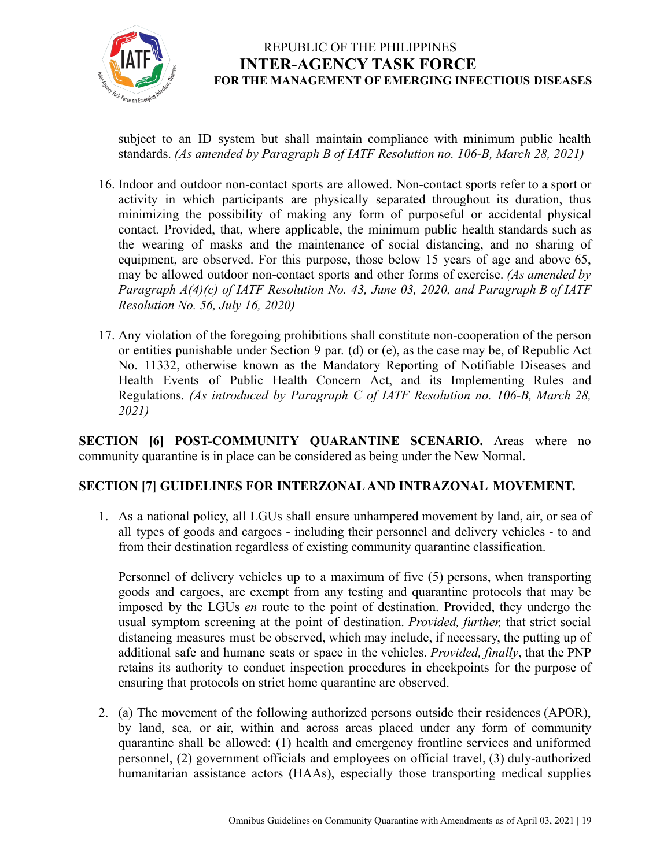

subject to an ID system but shall maintain compliance with minimum public health standards. *(As amended by Paragraph B of IATF Resolution no. 106-B, March 28, 2021)*

- 16. Indoor and outdoor non-contact sports are allowed. Non-contact sports refer to a sport or activity in which participants are physically separated throughout its duration, thus minimizing the possibility of making any form of purposeful or accidental physical contact*.* Provided, that, where applicable, the minimum public health standards such as the wearing of masks and the maintenance of social distancing, and no sharing of equipment, are observed. For this purpose, those below 15 years of age and above 65, may be allowed outdoor non-contact sports and other forms of exercise. *(As amended by Paragraph A(4)(c) of IATF Resolution No. 43, June 03, 2020, and Paragraph B of IATF Resolution No. 56, July 16, 2020)*
- 17. Any violation of the foregoing prohibitions shall constitute non-cooperation of the person or entities punishable under Section 9 par. (d) or (e), as the case may be, of Republic Act No. 11332, otherwise known as the Mandatory Reporting of Notifiable Diseases and Health Events of Public Health Concern Act, and its Implementing Rules and Regulations. *(As introduced by Paragraph C of IATF Resolution no. 106-B, March 28, 2021)*

**SECTION [6] POST-COMMUNITY QUARANTINE SCENARIO.** Areas where no community quarantine is in place can be considered as being under the New Normal.

### **SECTION [7] GUIDELINES FOR INTERZONAL AND INTRAZONAL MOVEMENT.**

1. As a national policy, all LGUs shall ensure unhampered movement by land, air, or sea of all types of goods and cargoes - including their personnel and delivery vehicles - to and from their destination regardless of existing community quarantine classification.

Personnel of delivery vehicles up to a maximum of five (5) persons, when transporting goods and cargoes, are exempt from any testing and quarantine protocols that may be imposed by the LGUs *en* route to the point of destination. Provided, they undergo the usual symptom screening at the point of destination. *Provided, further,* that strict social distancing measures must be observed, which may include, if necessary, the putting up of additional safe and humane seats or space in the vehicles. *Provided, finally*, that the PNP retains its authority to conduct inspection procedures in checkpoints for the purpose of ensuring that protocols on strict home quarantine are observed.

2. (a) The movement of the following authorized persons outside their residences (APOR), by land, sea, or air, within and across areas placed under any form of community quarantine shall be allowed: (1) health and emergency frontline services and uniformed personnel, (2) government officials and employees on official travel, (3) duly-authorized humanitarian assistance actors (HAAs), especially those transporting medical supplies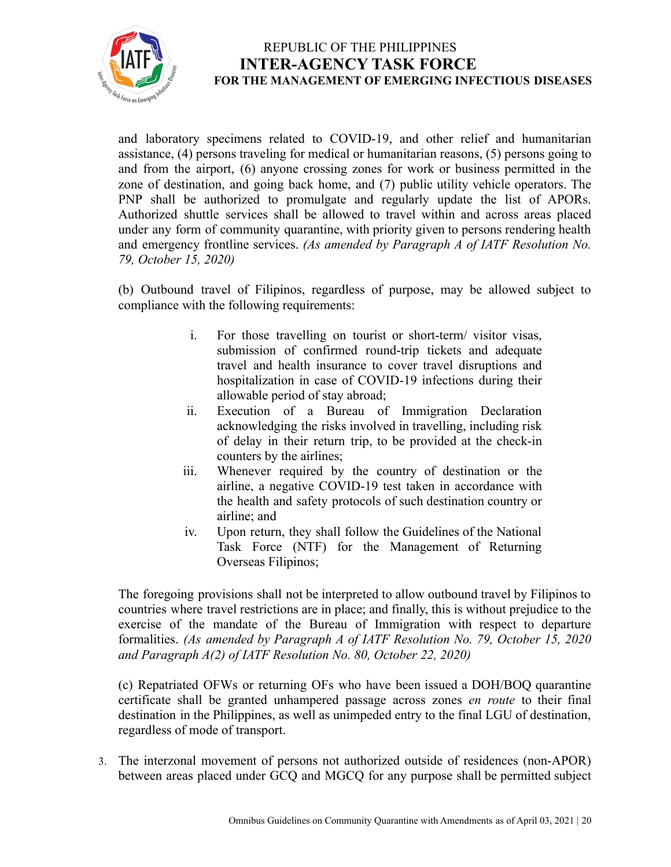

and laboratory specimens related to COVID-19, and other relief and humanitarian assistance, (4) persons traveling for medical or humanitarian reasons, (5) persons going to and from the airport, (6) anyone crossing zones for work or business permitted in the zone of destination, and going back home, and (7) public utility vehicle operators. The PNP shall be authorized to promulgate and regularly update the list of APORs. Authorized shuttle services shall be allowed to travel within and across areas placed under any form of community quarantine, with priority given to persons rendering health and emergency frontline services. *(As amended by Paragraph A of IATF Resolution No. 79, October 15, 2020)*

(b) Outbound travel of Filipinos, regardless of purpose, may be allowed subject to compliance with the following requirements:

- i. For those travelling on tourist or short-term/ visitor visas, submission of confirmed round-trip tickets and adequate travel and health insurance to cover travel disruptions and hospitalization in case of COVID-19 infections during their allowable period of stay abroad;
- ii. Execution of a Bureau of Immigration Declaration acknowledging the risks involved in travelling, including risk of delay in their return trip, to be provided at the check-in counters by the airlines;
- iii. Whenever required by the country of destination or the airline, a negative COVID-19 test taken in accordance with the health and safety protocols of such destination country or airline; and
- iv. Upon return, they shall follow the Guidelines of the National Task Force (NTF) for the Management of Returning Overseas Filipinos;

The foregoing provisions shall not be interpreted to allow outbound travel by Filipinos to countries where travel restrictions are in place; and finally, this is without prejudice to the exercise of the mandate of the Bureau of Immigration with respect to departure formalities. *(As amended by Paragraph A of IATF Resolution No. 79, October 15, 2020 and Paragraph A(2) of IATF Resolution No. 80, October 22, 2020)*

(c) Repatriated OFWs or returning OFs who have been issued a DOH/BOQ quarantine certificate shall be granted unhampered passage across zones *en route* to their final destination in the Philippines, as well as unimpeded entry to the final LGU of destination, regardless of mode of transport.

3. The interzonal movement of persons not authorized outside of residences (non-APOR) between areas placed under GCQ and MGCQ for any purpose shall be permitted subject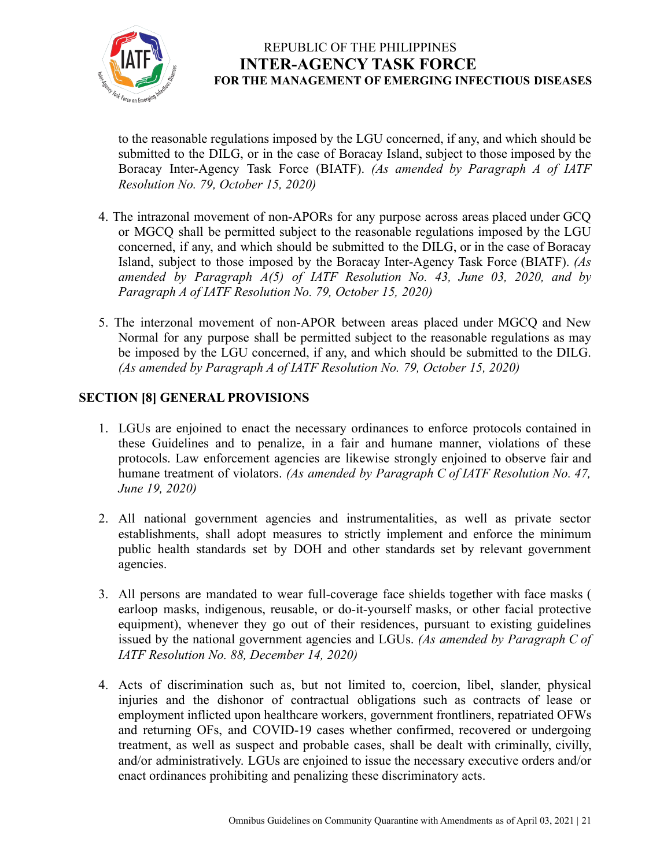

to the reasonable regulations imposed by the LGU concerned, if any, and which should be submitted to the DILG, or in the case of Boracay Island, subject to those imposed by the Boracay Inter-Agency Task Force (BIATF). *(As amended by Paragraph A of IATF Resolution No. 79, October 15, 2020)*

- 4. The intrazonal movement of non-APORs for any purpose across areas placed under GCQ or MGCQ shall be permitted subject to the reasonable regulations imposed by the LGU concerned, if any, and which should be submitted to the DILG, or in the case of Boracay Island, subject to those imposed by the Boracay Inter-Agency Task Force (BIATF). *(As amended by Paragraph A(5) of IATF Resolution No. 43, June 03, 2020, and by Paragraph A of IATF Resolution No. 79, October 15, 2020)*
- 5. The interzonal movement of non-APOR between areas placed under MGCQ and New Normal for any purpose shall be permitted subject to the reasonable regulations as may be imposed by the LGU concerned, if any, and which should be submitted to the DILG. *(As amended by Paragraph A of IATF Resolution No. 79, October 15, 2020)*

### **SECTION [8] GENERAL PROVISIONS**

- 1. LGUs are enjoined to enact the necessary ordinances to enforce protocols contained in these Guidelines and to penalize, in a fair and humane manner, violations of these protocols. Law enforcement agencies are likewise strongly enjoined to observe fair and humane treatment of violators. *(As amended by Paragraph C of IATF Resolution No. 47, June 19, 2020)*
- 2. All national government agencies and instrumentalities, as well as private sector establishments, shall adopt measures to strictly implement and enforce the minimum public health standards set by DOH and other standards set by relevant government agencies.
- 3. All persons are mandated to wear full-coverage face shields together with face masks ( earloop masks, indigenous, reusable, or do-it-yourself masks, or other facial protective equipment), whenever they go out of their residences, pursuant to existing guidelines issued by the national government agencies and LGUs. *(As amended by Paragraph C of IATF Resolution No. 88, December 14, 2020)*
- 4. Acts of discrimination such as, but not limited to, coercion, libel, slander, physical injuries and the dishonor of contractual obligations such as contracts of lease or employment inflicted upon healthcare workers, government frontliners, repatriated OFWs and returning OFs, and COVID-19 cases whether confirmed, recovered or undergoing treatment, as well as suspect and probable cases, shall be dealt with criminally, civilly, and/or administratively. LGUs are enjoined to issue the necessary executive orders and/or enact ordinances prohibiting and penalizing these discriminatory acts.